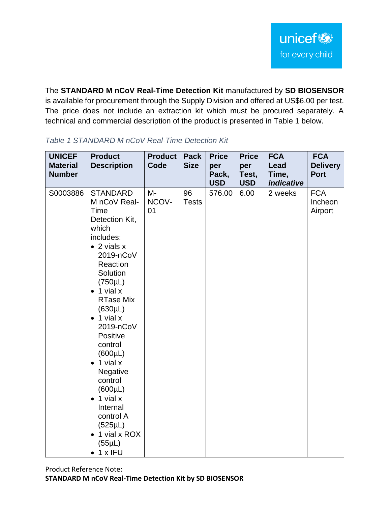The **STANDARD M nCoV Real-Time Detection Kit** manufactured by **SD BIOSENSOR** is available for procurement through the Supply Division and offered at US\$6.00 per test. The price does not include an extraction kit which must be procured separately. A technical and commercial description of the product is presented in Table 1 below.

| <b>UNICEF</b><br><b>Material</b><br><b>Number</b> | <b>Product</b><br><b>Description</b>                                                                                                                                                                                                                                                                                                                                                                                                                                                    | <b>Product</b><br>Code | <b>Pack</b><br><b>Size</b> | <b>Price</b><br>per<br>Pack,<br><b>USD</b> | <b>Price</b><br>per<br>Test,<br><b>USD</b> | <b>FCA</b><br>Lead<br>Time,<br><i>indicative</i> | <b>FCA</b><br><b>Delivery</b><br><b>Port</b> |
|---------------------------------------------------|-----------------------------------------------------------------------------------------------------------------------------------------------------------------------------------------------------------------------------------------------------------------------------------------------------------------------------------------------------------------------------------------------------------------------------------------------------------------------------------------|------------------------|----------------------------|--------------------------------------------|--------------------------------------------|--------------------------------------------------|----------------------------------------------|
| S0003886                                          | <b>STANDARD</b><br>M nCoV Real-<br>Time<br>Detection Kit,<br>which<br>includes:<br>$\bullet$ 2 vials x<br>2019-nCoV<br>Reaction<br>Solution<br>$(750\mu L)$<br>$\bullet$ 1 vial x<br><b>RTase Mix</b><br>$(630\mu L)$<br>$\bullet$ 1 vial x<br>2019-nCoV<br>Positive<br>control<br>$(600\mu L)$<br>$\bullet$ 1 vial x<br>Negative<br>control<br>$(600\mu L)$<br>$\bullet$ 1 vial x<br>Internal<br>control A<br>(525µL)<br>1 vial x ROX<br>$\bullet$<br>$(55\mu L)$<br>$\bullet$ 1 x IFU | M-<br>NCOV-<br>01      | 96<br><b>Tests</b>         | 576.00                                     | 6.00                                       | 2 weeks                                          | <b>FCA</b><br>Incheon<br>Airport             |

## *Table 1 STANDARD M nCoV Real-Time Detection Kit*

Product Reference Note: